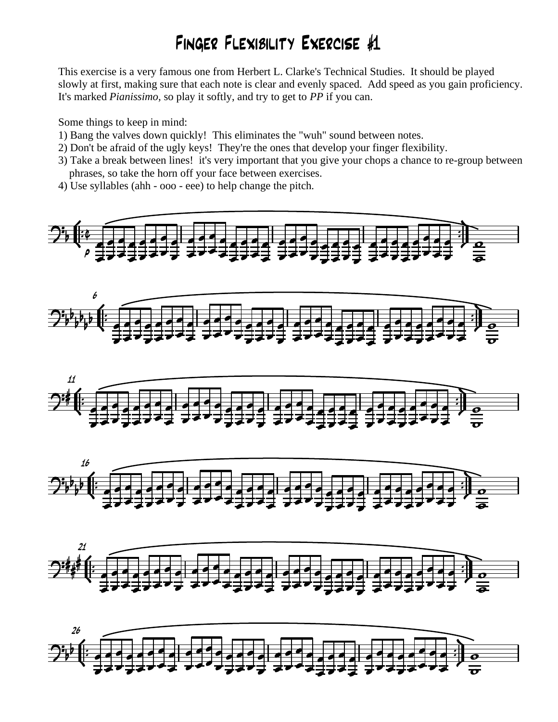## Finger Flexibility Exercise #1

This exercise is a very famous one from Herbert L. Clarke's Technical Studies. It should be played slowly at first, making sure that each note is clear and evenly spaced. Add speed as you gain proficiency. It's marked *Pianissimo,* so play it softly, and try to get to *PP* if you can.

Some things to keep in mind:

- 1) Bang the valves down quickly! This eliminates the "wuh" sound between notes.
- 2) Don't be afraid of the ugly keys! They're the ones that develop your finger flexibility.
- 3) Take a break between lines! it's very important that you give your chops a chance to re-group between phrases, so take the horn off your face between exercises.
- 4) Use syllables (ahh ooo eee) to help change the pitch*.*